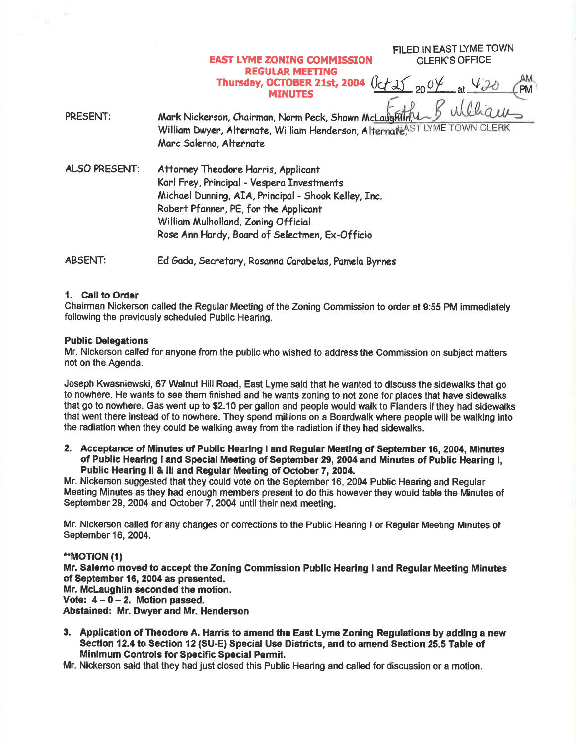# **EAST LYME ZONING COMMISSION REGULAR MEETING** Thursday, OCTOBER 21st, 2004

FILED IN EAST LYME TOWN **CLERK'S OFFICE** 

 $0$ ct 25 2004 **MINUTES** PRESENT: Mark Nickerson, Chairman, Norm Peck, Shawn McLaughin William Dwyer, Alternate, William Henderson, AlternateAST LYME TOV Marc Salerno, Alternate **ALSO PRESENT:** Attorney Theodore Harris, Applicant Karl Frey, Principal - Vespera Investments Michael Dunning, AIA, Principal - Shook Kelley, Inc. Robert Pfanner, PE, for the Applicant William Mulholland, Zoning Official Rose Ann Hardy, Board of Selectmen, Ex-Officio

Ed Gada, Secretary, Rosanna Carabelas, Pamela Byrnes **ABSENT:** 

# 1. Call to Order

Chairman Nickerson called the Regular Meeting of the Zoning Commission to order at 9:55 PM immediately following the previously scheduled Public Hearing.

## **Public Delegations**

Mr. Nickerson called for anyone from the public who wished to address the Commission on subject matters not on the Agenda.

Joseph Kwasniewski, 67 Walnut Hill Road, East Lyme said that he wanted to discuss the sidewalks that go to nowhere. He wants to see them finished and he wants zoning to not zone for places that have sidewalks that go to nowhere. Gas went up to \$2.10 per gallon and people would walk to Flanders if they had sidewalks that went there instead of to nowhere. They spend millions on a Boardwalk where people will be walking into the radiation when they could be walking away from the radiation if they had sidewalks.

2. Acceptance of Minutes of Public Hearing I and Regular Meeting of September 16, 2004, Minutes of Public Hearing I and Special Meeting of September 29, 2004 and Minutes of Public Hearing I, Public Hearing II & III and Regular Meeting of October 7, 2004.

Mr. Nickerson suggested that they could vote on the September 16, 2004 Public Hearing and Regular Meeting Minutes as they had enough members present to do this however they would table the Minutes of September 29, 2004 and October 7, 2004 until their next meeting.

Mr. Nickerson called for any changes or corrections to the Public Hearing I or Regular Meeting Minutes of September 16, 2004.

# \*\*MOTION (1)

Mr. Salemo moved to accept the Zoning Commission Public Hearing I and Regular Meeting Minutes of September 16, 2004 as presented.

Mr. McLaughlin seconded the motion.

Vote:  $4-0-2$ . Motion passed.

Abstained: Mr. Dwyer and Mr. Henderson

3. Application of Theodore A. Harris to amend the East Lyme Zoning Regulations by adding a new Section 12.4 to Section 12 (SU-E) Special Use Districts, and to amend Section 25.5 Table of Minimum Controls for Specific Special Permit.

Mr. Nickerson said that they had just closed this Public Hearing and called for discussion or a motion.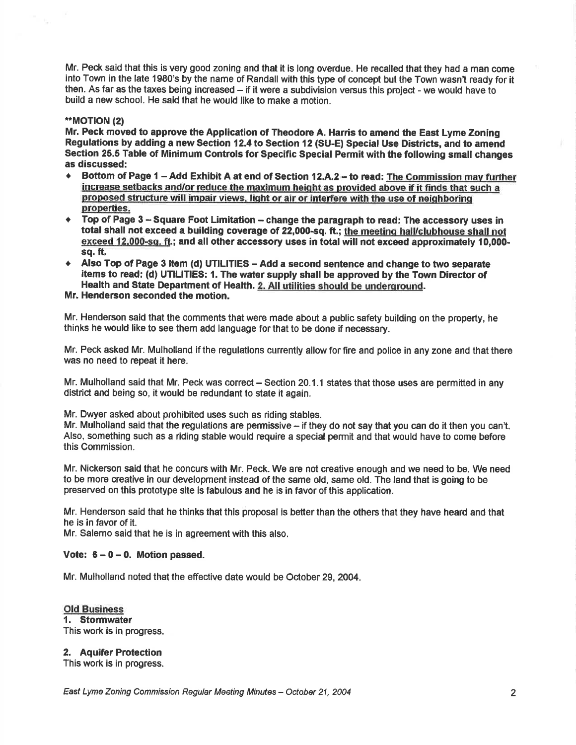Mr. Peck said that this is very good zoning and that it is long overdue. He recalled that they had a man come into Town in the late 1980's by the name of Randall with this type of concept but the Town wasnt ready for it then. As far as the taxes being increased - if it were a subdivision versus this project - we would have to build a new school. He said that he would like to make a motion.

# \*\*MOT!ON (2)

Mr. Peck moved to approve the Application of Theodore A. Harris to amend the East Lyme Zoning Regulations by adding a new Section 12.4to Section 12 (SU-E) Special Use Districts, and to amend Section 25.5 Table of Minimum Gontrols for Specific Special Permit with the following small changes as discussed:<br>  $\div$  Bottom of

- Bottom of Page 1 Add Exhibit A at end of Section 12.A.2 to read: The Commission may further increase setbacks and/or reduce the maximum height as provided above if it finds that such a proposed structure will impair views, light or air or interfere with the use of neighboring properties.
- Top of Page 3 Square Foot Limitation change the paragraph to read: The accessory uses in total shall not exceed a building coverage of 22,000-sq. ft.; the meelinq hall/clubhouse shall not exceed 12,000-sq. ft.; and all other accessory uses in total will not exceed approximately 10,000sq.ft,
- Also Top of Page 3 Item (d) UTILITIES Add a second sentence and change to two separate items to read: (d) UTILITIES: 1. The water supply shall be approved by the Town Director of Health and State Department of Health. 2. All utilities should be underground.
- Mr. Henderson seconded the motion.

Mr. Henderson said that the comments that were made about a public safety building on the property, he thinks he would like to see them add language for that to be done if necessary.

Mr. Peck asked Mr. Mulholland if the regulations currently allow for fire and police in any zone and that there was no need to repeat it here.

Mr. Mulholland said that Mr. Peck was correct - Section 20.1.1 states that those uses are permitted in any district and being so, it would be redundant to state it again.

Mr. Dwyer asked about prohibited uses such as riding stables.

Mr. Mulholland said that the regulations are permissive - if they do not say that you can do it then you can't. Also, something such as a riding stable would require a special permit and that would have to come before this Commission.

Mr. Nickerson said that he concurs with Mr. Peck. We are not creative enough and we need to be. We need to be more creative in our development instead of the same old, same old. The land that is going to be preserved on this prototype site is fabulous and he is in favor of this application.

Mr. Henderson said that he thinks that this proposal is better than the others that they have heard and that he is in favor of it.

Mr. Salerno said that he is in agreement with this also.

# Vote:  $6 - 0 - 0$ . Motion passed.

Mr. Mulholland noted that the effective date would be October 29,2004.

Old Business 1. Stormwater This work is in progress.

2. Aquifer Protection This work is in progress.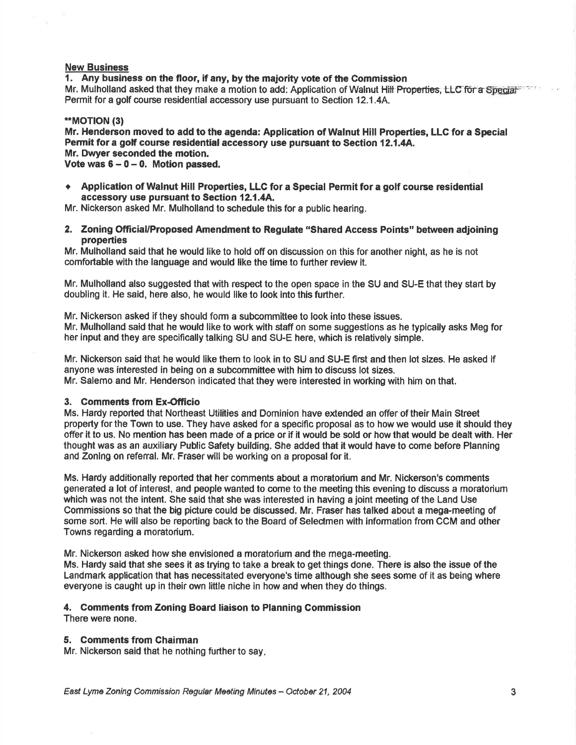#### New Business

1. Any business on the floor, if any, by the maiority vote of the Commission

Mr. Mulholland asked that they make a motion to add: Application of Walnut Hill Properties; LLC for a Special Permit for a golf course residential accessory use pursuant to Section 12.1.4A.

## \*\*MOT|ON (3)

Mr. Henderson moved to add to the agenda: Application of Walnut Hill Properties, LLC for a Special Permit for a golf course residential accessory use pursuant to Section 12.1.4A. Mr, Dwyer seconded the motion.

Vote was  $6 - 0 - 0$ . Motion passed.

Application of Walnut Hill Properties, LLC for a Special Permit for a golf course residential accessory use punsuant to Section 12.1.4A,

Mr. Nickerson asked Mr. Mulholland to schedule this for a public hearing.

2. Zoning Official/Proposed Amendment to Regulate "Shared Access Points" between adjoining properties

Mr. Mulholland said that he would like to hold off on discussion on this for another night, as he is not comfortable with the language and would like the time to further review it.

Mr. Mulholland also suggested that with respect to the open space in the SU and SU-E that they start by doubling it. He said, here also, he would like to look into this further.

Mr. Nickerson asked if they should form a subcommittee to look into these issues. Mr. Mulholland said that he would like to work with staff on some suggestions as he typically asks Meg for her input and they are specifically talking SU and SU-E here, which is relatively simple.

Mr. Nickerson said that he would like them to look in to SU and SU-E first and then lot sizes. He asked if anyone was interested in being on a subcommittee with him to discuss lot sizes. Mr. Salemo and Mr, Henderson indicated that they were interested in working with him on that.

#### 3. Comments from Ex-Ofiicio

Ms. Hardy reported that Northeast Utilities and Dominion have extended an offer of their Main Street property for the Town to use. They have asked for a specific proposal as to how we would use it should they offer it to us, No mention has been made of a price or if it would be sold or how that would be dealt with. Her thought was as an auxiliary Public Safety building. She added that it would have to come before Planning and Zoning on refenal. Mr. Fraser will be working on a proposal for it.

Ms. Hardy additionally reported that her comments about a moratorium and Mr. Nickerson's comments generated a lot of interest, and people wanted to come to the meeting this evening to discuss a moratorium which was not the intent. She said that she was interested in having a joint meeting of the Land Use Commissions so that the big picture could be discussed. Mr. Fraser has talked about a mega-meeting of some sort. He will also be reporting back to the Board of Selectmen with information from CCM and other Towns regarding a moratorium.

Mr. Nickerson asked how she envisioned a moratorium and the mega-meeting.

Ms. Hardy said that she sees it as trying to take a break to get things done. There is also the issue of the Landmark application that has necessitated everyone's time although she sees some of it as being where everyone is caught up in their own little niche in how and when they do things.

# 4. Comments from Zoning Board liaison to Planning Commission

There were none.

# 5. Gomments from Chairman

Mr. Nickerson said that he nothing further to say